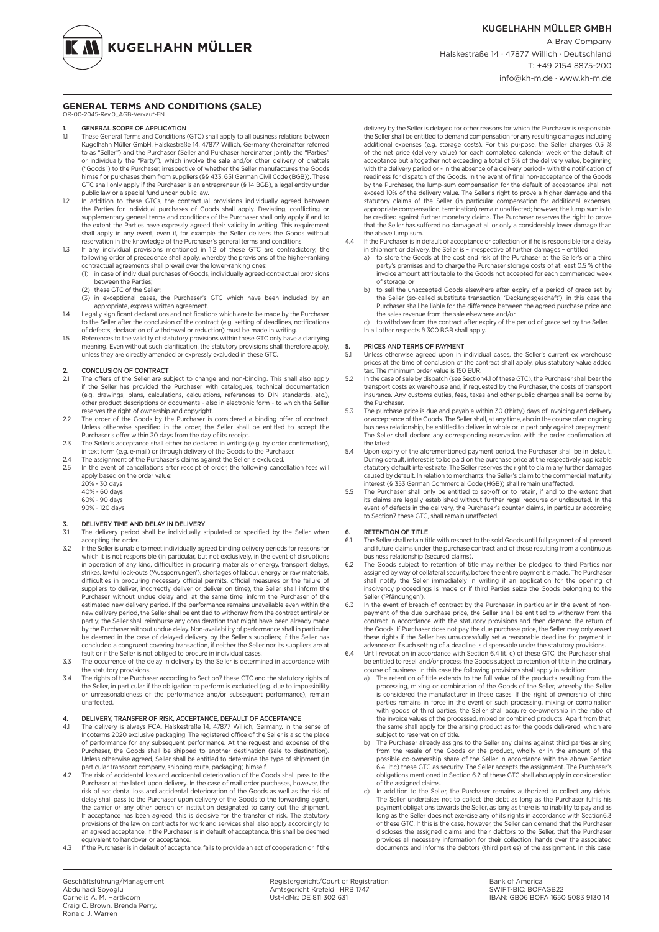**KUGELHAHN MÜLLER** 

#### **GENERAL TERMS AND CONDITIONS (SALE)** OR-00-2045-Rev.0\_AGB-Verkauf-EN

# 1. **GENERAL SCOPE OF APPLICATION**<br>1.1 These General Terms and Conditions

- These General Terms and Conditions (GTC) shall apply to all business relations between Kugelhahn Müller GmbH, Halskestraße 14, 47877 Willich, Germany (hereinafter referred to as "Seller") and the Purchaser (Seller and Purchaser hereinafter jointly the "Parties" or individually the "Party"), which involve the sale and/or other delivery of chattels ("Goods") to the Purchaser, irrespective of whether the Seller manufactures the Goods himself or purchases them from suppliers (§§ 433, 651 German Civil Code (BGB)). These GTC shall only apply if the Purchaser is an entrepreneur (§ 14 BGB), a legal entity under public law or a special fund under public law.
- 1.2 In addition to these GTCs, the contractual provisions individually agreed between the Parties for individual purchases of Goods shall apply. Deviating, conflicting or supplementary general terms and conditions of the Purchaser shall only apply if and to the extent the Parties have expressly agreed their validity in writing. This requirement shall apply in any event, even if, for example the Seller delivers the Goods without reservation in the knowledge of the Purchaser's general terms and conditions.
- 1.3 If any individual provisions mentioned in 1.2 of these GTC are contradictory, the following order of precedence shall apply, whereby the provisions of the higher-ranking
	- contractual agreements shall prevail over the lower-ranking ones: (1) in case of individual purchases of Goods, individually agreed contractual provisions
	- between the Parties; (2) these GTC of the Seller;
	- (3) in exceptional cases, the Purchaser's GTC which have been included by an appropriate, express written agreement.
- 1.4 Legally significant declarations and notifications which are to be made by the Purchaser to the Seller after the conclusion of the contract (e.g. setting of deadlines, notifications of defects, declaration of withdrawal or reduction) must be made in writing.
- 1.5 References to the validity of statutory provisions within these GTC only have a clarifying meaning. Even without such clarification, the statutory provisions shall therefore apply, unless they are directly amended or expressly excluded in these GTC.

# 2. CONCLUSION OF CONTRACT<br>2.1 The offers of the Seller are su

- The offers of the Seller are subject to change and non-binding. This shall also apply if the Seller has provided the Purchaser with catalogues, technical documentation (e.g. drawings, plans, calculations, calculations, references to DIN standards, etc.), other product descriptions or documents - also in electronic form - to which the Seller reserves the right of ownership and copyright.
- 2.2 The order of the Goods by the Purchaser is considered a binding offer of contract. Unless otherwise specified in the order, the Seller shall be entitled to accept the Purchaser's offer within 30 days from the day of its receipt.
- 2.3 The Seller's acceptance shall either be declared in writing (e.g. by order confirmation),<br>in text form (e.g. e-mail) or through delivery of the Goods to the Purchaser.<br>2.4 The assignment of the Purchaser's claims again
- 
- 2.5 In the event of cancellations after receipt of order, the following cancellation fees will apply based on the order value:
	- 20% 30 days
	- 40% 60 days
	- 60% 90 days 90% - 120 days

#### DELIVERY TIME AND DELAY IN DELIVERY

- 3.1 The delivery period shall be individually stipulated or specified by the Seller when accepting the order.
- 3.2 If the Seller is unable to meet individually agreed binding delivery periods for reasons for which it is not responsible (in particular, but not exclusively, in the event of disruptions in operation of any kind, difficulties in procuring materials or energy, transport delays, strikes, lawful lock-outs ('Aussperrungen'), shortages of labour, energy or raw materials, difficulties in procuring necessary official permits, official measures or the failure of suppliers to deliver, incorrectly deliver or deliver on time), the Seller shall inform the Purchaser without undue delay and, at the same time, inform the Purchaser of the estimated new delivery period. If the performance remains unavailable even within the new delivery period, the Seller shall be entitled to withdraw from the contract entirely or partly; the Seller shall reimburse any consideration that might have been already made by the Purchaser without undue delay. Non-availability of performance shall in particular be deemed in the case of delayed delivery by the Seller's suppliers; if the Seller has concluded a congruent covering transaction, if neither the Seller nor its suppliers are at
- fault or if the Seller is not obliged to procure in individual cases. 3.3 The occurrence of the delay in delivery by the Seller is determined in accordance with the statutory provisions.
- 3.4 The rights of the Purchaser according to Section7 these GTC and the statutory rights of the Seller, in particular if the obligation to perform is excluded (e.g. due to impossibility or unreasonableness of the performance and/or subsequent performance), remain unaffected.

#### 4. DELIVERY, TRANSFER OF RISK, ACCEPTANCE, DEFAULT OF ACCEPTANCE<br>41 The delivery is always ECA Halskestraße 14, 47877 Willich Germany in the

- The delivery is always FCA, Halskestraße 14, 47877 Willich, Germany, in the sense of Incoterms 2020 exclusive packaging. The registered office of the Seller is also the place of performance for any subsequent performance. At the request and expense of the<br>Purchaser, the Goods shall be shipped to another destination (sale to destination).<br>Unless otherwise agreed, Seller shall be entitled to dete particular transport company, shipping route, packaging) himself.
- 4.2 The risk of accidental loss and accidental deterioration of the Goods shall pass to the Purchaser at the latest upon delivery. In the case of mail order purchases, however, the risk of accidental loss and accidental deterioration of the Goods as well as the risk of delay shall pass to the Purchaser upon delivery of the Goods to the forwarding agent, the carrier or any other person or institution designated to carry out the shipment. If acceptance has been agreed, this is decisive for the transfer of risk. The statutory provisions of the law on contracts for work and services shall also apply accordingly to an agreed acceptance. If the Purchaser is in default of acceptance, this shall be de equivalent to handover or acceptance.
- 4.3 If the Purchaser is in default of acceptance, fails to provide an act of cooperation or if the

delivery by the Seller is delayed for other reasons for which the Purchaser is responsible, the Seller shall be entitled to demand compensation for any resulting damages including additional expenses (e.g. storage costs). For this purpose, the Seller charges 0.5 % of the net price (delivery value) for each completed calendar week of the default of acceptance but altogether not exceeding a total of 5% of the delivery value, beginning with the delivery period or - in the absence of a delivery period - with the notification of readiness for dispatch of the Goods. In the event of final non-acceptance of the Goods by the Purchaser, the lump-sum compensation for the default of acceptance shall not exceed 10% of the delivery value. The Seller's right to prove a higher damage and the statutory claims of the Seller (in particular compensation for additional expenses, appropriate compensation, termination) remain unaffected; however, the lump sum is to be credited against further monetary claims. The Purchaser reserves the right to prove that the Seller has suffered no damage at all or only a considerably lower damage than the above lump sum.

- 4.4 If the Purchaser is in default of acceptance or collection or if he is responsible for a delay in shipment or delivery, the Seller is – irrespective of further damages – entitled
	- a) to store the Goods at the cost and risk of the Purchaser at the Seller's or a third party's premises and to charge the Purchaser storage costs of at least 0.5 % of the invoice amount attributable to the Goods not accepted for each commenced week of storage, or
	- b) to sell the unaccepted Goods elsewhere after expiry of a period of grace set by the Seller (so-called substitute transaction, 'Deckungsgeschäft'); in this case the Purchaser shall be liable for the difference between the agreed purchase price and the sales revenue from the sale elsewhere and/or
	- c) to withdraw from the contract after expiry of the period of grace set by the Seller. In all other respects § 300 BGB shall apply.

### 5. PRICES AND TERMS OF PAYMENT<br>5.1 Unless otherwise agreed upon in i

- Unless otherwise agreed upon in individual cases, the Seller's current ex warehouse prices at the time of conclusion of the contract shall apply, plus statutory value added tax. The minimum order value is 150 EUR.
- 5.2 In the case of sale by dispatch (see Section4.1 of these GTC), the Purchaser shall bear the transport costs ex warehouse and, if requested by the Purchaser, the costs of transport insurance. Any customs duties, fees, taxes and other public charges shall be borne by the Purchaser
- 5.3 The purchase price is due and payable within 30 (thirty) days of invoicing and delivery or acceptance of the Goods. The Seller shall, at any time, also in the course of an ongoing business relationship, be entitled to deliver in whole or in part only against prepayment. The Seller shall declare any corresponding reservation with the order confirmation at the latest.
- 5.4 Upon expiry of the aforementioned payment period, the Purchaser shall be in default. During default, interest is to be paid on the purchase price at the respectively applicable statutory default interest rate. The Seller reserves the right to claim any further damages caused by default. In relation to merchants, the Seller's claim to the commercial maturity interest (§ 353 German Commercial Code (HGB)) shall remain unaffected.
- 5.5 The Purchaser shall only be entitled to set-off or to retain, if and to the extent that its claims are legally established without further regal recourse or undisputed. In the event of defects in the delivery, the Purchaser's counter claims, in particular according to Section7 these GTC, shall remain unaffected.

# 6. RETENTION OF TITLE<br>6.1 The Seller shall retain ti

- 6.1 The Seller shall retain title with respect to the sold Goods until full payment of all present and future claims under the purchase contract and of those resulting from a continuous business relationship (secured claims).
- 6.2 The Goods subject to retention of title may neither be pledged to third Parties nor assigned by way of collateral security, before the entire payment is made. The Purchaser shall notify the Seller immediately in writing if an application for the opening of insolvency proceedings is made or if third Parties seize the Goods belonging to the Seller ('Pfändungen').
- 6.3 In the event of breach of contract by the Purchaser, in particular in the event of nonpayment of the due purchase price, the Seller shall be entitled to withdraw from the contract in accordance with the statutory provisions and then demand the return of the Goods. If Purchaser does not pay the due purchase price, the Seller may only assert these rights if the Seller has unsuccessfully set a reasonable deadline for payment in advance or if such setting of a deadline is dispensable under the statutory provisions.
- 6.4 Until revocation in accordance with Section 6.4 lit. c) of these GTC, the Purchaser shall be entitled to resell and/or process the Goods subject to retention of title in the ordinary
	- course of business. In this case the following provisions shall apply in addition: a) The retention of title extends to the full value of the products resulting from the processing, mixing or combination of the Goods of the Seller, whereby the Seller is considered the manufacturer in these cases. If the right of ownership of third parties remains in force in the event of such processing, mixing or combination with goods of third parties, the Seller shall acquire co-ownership in the ratio of the invoice values of the processed, mixed or combined products. Apart from that, the same shall apply for the arising product as for the goods delivered, which are subject to reservation of title.
	- b) The Purchaser already assigns to the Seller any claims against third parties arising from the resale of the Goods or the product, wholly or in the amount of the possible co-ownership share of the Seller in accordance with the above Section 6.4 lit.c) these GTC as security. The Seller accepts the assignment. The Purchaser's obligations mentioned in Section 6.2 of these GTC shall also apply in consideration of the assigned claims.
	- In addition to the Seller, the Purchaser remains authorized to collect any debts. The Seller undertakes not to collect the debt as long as the Purchaser fulfils his payment obligations towards the Seller, as long as there is no inability to pay and as long as the Seller does not exercise any of its rights in accordance with Section6.3 of these GTC. If this is the case, however, the Seller can demand that the Purchaser discloses the assigned claims and their debtors to the Seller, that the Purchaser provides all necessary information for their collection, hands over the associated documents and informs the debtors (third parties) of the assignment. In this case,